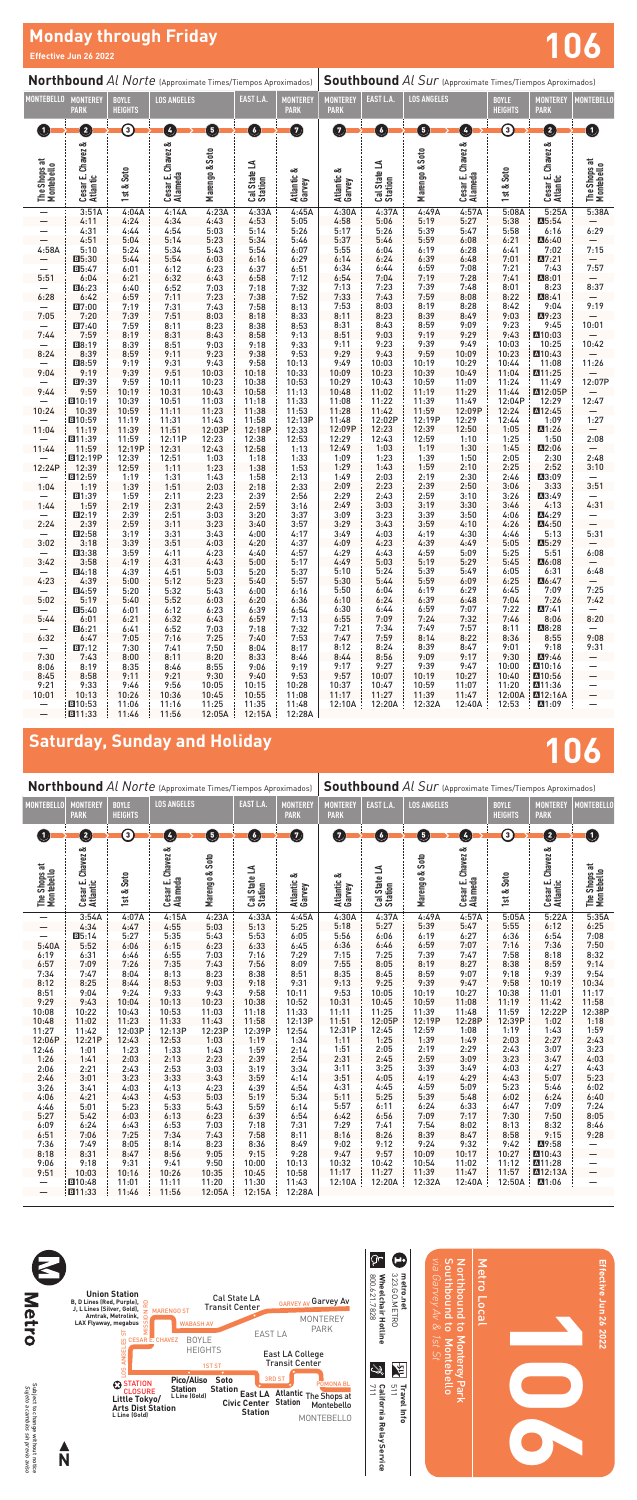

# **Saturday, Sunday and Holiday 106**

| Northbound Al Norte (Approximate Times/Tiempos Aproximados)                                              |                                                                                                                             |                                                                                                                             |                                                                                                                     |                                                                                                                            |                                                                                                                            |                                                                                                                             | <b>Southbound Al Sur</b> (Approximate Times/Tiempos Aproximados)                                                           |                                                                                                                             |                                                                                                                             |                                                                                                                            |                                                                                                                            |                                                                                                                            |                                                                                                                            |  |
|----------------------------------------------------------------------------------------------------------|-----------------------------------------------------------------------------------------------------------------------------|-----------------------------------------------------------------------------------------------------------------------------|---------------------------------------------------------------------------------------------------------------------|----------------------------------------------------------------------------------------------------------------------------|----------------------------------------------------------------------------------------------------------------------------|-----------------------------------------------------------------------------------------------------------------------------|----------------------------------------------------------------------------------------------------------------------------|-----------------------------------------------------------------------------------------------------------------------------|-----------------------------------------------------------------------------------------------------------------------------|----------------------------------------------------------------------------------------------------------------------------|----------------------------------------------------------------------------------------------------------------------------|----------------------------------------------------------------------------------------------------------------------------|----------------------------------------------------------------------------------------------------------------------------|--|
| <b>MONTEBELLO</b>                                                                                        | <b>MONTEREY</b><br><b>PARK</b>                                                                                              | <b>BOYLE</b><br><b>HEIGHTS</b>                                                                                              | <b>LOS ANGELES</b>                                                                                                  |                                                                                                                            | <b>EAST L.A.</b>                                                                                                           | MONTEREY<br><b>PARK</b>                                                                                                     | MONTEREY<br><b>PARK</b>                                                                                                    | <b>EAST L.A.</b>                                                                                                            | <b>LOS ANGELES</b>                                                                                                          |                                                                                                                            | <b>BOYLE</b><br><b>HEIGHTS</b>                                                                                             | <b>MONTEREY</b><br><b>PARK</b>                                                                                             | MONTEBELLO                                                                                                                 |  |
| O<br>The Shops at<br>Montebello                                                                          | Ø<br>Chavez &<br>Cesar E. I<br>Atlantic                                                                                     | ි)<br><b>Ist&amp;Soto</b>                                                                                                   | Ø<br>Chavez &<br>Cesar E.<br>Alameda                                                                                | G<br>Marengo & Soto                                                                                                        | $\bullet$<br>Cal State LA<br>Station                                                                                       | Ø<br>Atlantic &<br>Garvey                                                                                                   | 0<br>Atlantic &<br>Garvey                                                                                                  | $\boxed{6}$<br>Cal State LA<br>Station                                                                                      | G<br>Marengo & Soto                                                                                                         | Ø<br>Cesar E. Chavez &<br>Alameda                                                                                          | ③<br>1st & Soto                                                                                                            | 0<br>Chavez &<br>Cesar E.                                                                                                  | $\mathbf 0$<br>The Shops at<br>Montebello                                                                                  |  |
| -<br>5:40A<br>6:19<br>6:57<br>7:34<br>8:12<br>8:51<br>9:29<br>10:08<br>10:48<br>11:27<br>12:06P<br>12:46 | 3:54A<br>4:34<br>■5:14<br>5:52<br>6:31<br>7:09<br>7:47<br>8:25<br>9:04<br>9:43<br>10:22<br>11:02<br>11:42<br>12:21P<br>1:01 | 4:07A<br>4:47<br>5:27<br>6:06<br>6:46<br>7:26<br>8:04<br>8:44<br>9:24<br>10:04<br>10:43<br>11:23<br>12:03P<br>12:43<br>1:23 | 4:15A<br>4:55<br>5:35<br>6:15<br>6:55<br>7:35<br>8:13<br>8:53<br>9:33<br>10:13<br>10:53<br>11:33<br>12:13P<br>12:53 | 4:23A<br>5:03<br>5:43<br>6:23<br>7:03<br>7:43<br>8:23<br>9:03<br>9:43<br>10:23<br>11:03<br>11:43<br>12:23P<br>1:03<br>1:43 | 4:33A<br>5:13<br>5:53<br>6:33<br>7:16<br>7:56<br>8:38<br>9:18<br>9:58<br>10:38<br>11:18<br>11:58<br>12:39P<br>1:19<br>1:59 | 4:45A<br>5:25<br>6:05<br>6:45<br>7:29<br>8:09<br>8:51<br>9:31<br>10:11<br>10:52<br>11:33<br>12:13P<br>12:54<br>1:34<br>2:14 | 4:30A<br>5:18<br>5:56<br>6:36<br>7:15<br>7:55<br>8:35<br>9:13<br>9:53<br>10:31<br>11:11<br>11:51<br>12:31P<br>1:11<br>1:51 | 4:37A<br>5:27<br>6:06<br>6:46<br>7:25<br>8:05<br>8:45<br>9:25<br>10:05<br>10:45<br>11:25<br>12:05P<br>12:45<br>1:25<br>2:05 | 4:49A<br>5:39<br>6:19<br>6:59<br>7:39<br>8:19<br>8:59<br>9:39<br>10:19<br>10:59<br>11:39<br>12:19P<br>12:59<br>1:39<br>2:19 | 4:57A<br>5:47<br>6:27<br>7:07<br>7:47<br>8:27<br>9:07<br>9:47<br>10:27<br>11:08<br>11:48<br>12:28P<br>1:08<br>1:49<br>2:29 | 5:05A<br>5:55<br>6:36<br>7:16<br>7:58<br>8:38<br>9:18<br>9:58<br>10:38<br>11:19<br>11:59<br>12:39P<br>1:19<br>2:03<br>2:43 | 5:22A<br>6:12<br>6:54<br>7:36<br>8:18<br>8:59<br>9:39<br>10:19<br>11:01<br>11:42<br>12:22P<br>1:02<br>1:43<br>2:27<br>3:07 | 5:35A<br>6:25<br>7:08<br>7:50<br>8:32<br>9:14<br>9:54<br>10:34<br>11:17<br>11:58<br>12:38P<br>1:18<br>1:59<br>2:43<br>3:23 |  |
| 1:26<br>2:06<br>2:46<br>3:26<br>4:06<br>4:46<br>5:27<br>6:09<br>6:51                                     | 1:41<br>2:21<br>3:01<br>3:41<br>4:21<br>5:01<br>5:42<br>6:24<br>7:06                                                        | 2:03<br>2:43<br>3:23<br>4:03<br>4:43<br>5:23<br>6:03<br>6:43<br>7:25                                                        | 1:33<br>2:13<br>2:53<br>3:33<br>4:13<br>4:53<br>5:33<br>6:13<br>6:53<br>7:34                                        | 2:23<br>3:03<br>3:43<br>4:23<br>5:03<br>5:43<br>6:23<br>7:03<br>7:43                                                       | 2:39<br>3:19<br>3:59<br>4:39<br>5:19<br>5:59<br>6:39<br>7:18<br>7:58                                                       | 2:54<br>3:34<br>4:14<br>4:54<br>5:34<br>6:14<br>6:54<br>7:31<br>8:11                                                        | 2:31<br>3:11<br>3:51<br>4:31<br>5:11<br>5:57<br>6:42<br>7:29<br>8:16                                                       | 2:45<br>3:25<br>4:05<br>4:45<br>5:25<br>6:11<br>6:56<br>7:41<br>8:26                                                        | 2:59<br>3:39<br>4:19<br>4:59<br>5:39<br>6:24<br>7:09<br>7:54<br>8:39                                                        | 3:09<br>3:49<br>4:29<br>5:09<br>5:48<br>6:33<br>7:17<br>8:02<br>8:47                                                       | 3:23<br>4:03<br>4:43<br>5:23<br>6:02<br>6:47<br>7:30<br>8:13<br>8:58                                                       | 3:47<br>4:27<br>5:07<br>5:46<br>6:24<br>7:09<br>7:50<br>8:32<br>9:15                                                       | 4:03<br>4:43<br>5:23<br>6:02<br>6:40<br>7:24<br>8:05<br>8:46<br>9:28                                                       |  |

| 0:1  | 7:UU   | 7.LJ  | 7:04  | ں 2: / | 0ں: /  | 0:11   | 0:10   | o:zo   | 0:07   | 0:41   | o:Jo   | 7 : I J        | 7.LO                     |
|------|--------|-------|-------|--------|--------|--------|--------|--------|--------|--------|--------|----------------|--------------------------|
| 7:36 | 7:49   | 8:05  | 8:14  | 8:23   | 8:36   | 8:49   | 9:02   | 9:12   | 9:24   | 9:32   | 9:42   | A9:58          | $\overline{\phantom{0}}$ |
| 8:18 | 8:31   | 8:47  | 8:56  | 9:05   | 9:15   | 9:28   | 9:47   | 9:57   | 10:09  | 10:17  | 10:27  | A10:43         | $\qquad \qquad -$        |
| 9:06 | 9:18   | 9:31  | 9:41  | 9:50   | 10:00  | 10:13  | 10:32  | 10:42  | 10:54  | 11:02  | 11:12  | <b>A11:28</b>  | $\overline{\phantom{0}}$ |
| 9:51 | 10:03  | 10:16 | 10:26 | 10:35  | 10:45  | 10:58  | 11:17  | 11:27  | 11:39  | 11:47  | 11:57  | <b>A12:13A</b> | $\qquad \qquad -$        |
|      | ■10:48 | 11:01 | 11:11 | 11:20  | 11:30  | 1:43   | 12:10A | 12:20A | 12:32A | 12:40A | 12:50A | A1:06          | $\overline{\phantom{0}}$ |
| –    | ■11:33 | 11:46 | 11:56 | 12:05A | 12:15A | 12:28A |        |        |        |        |        |                |                          |
|      |        |       |       |        |        |        |        |        |        |        |        |                |                          |

| Northbound Al Norte (Approximate Times/Tiempos Aproximados) |                                                 |                                |                                                |                               |                              |                                         | <b>Southbound Al Sur</b> (Approximate Times/Tiempos Aproximados) |                              |                     |                                                |                                |                                                                     |                                           |
|-------------------------------------------------------------|-------------------------------------------------|--------------------------------|------------------------------------------------|-------------------------------|------------------------------|-----------------------------------------|------------------------------------------------------------------|------------------------------|---------------------|------------------------------------------------|--------------------------------|---------------------------------------------------------------------|-------------------------------------------|
| MONTEBELLO MONTEREY                                         | <b>PARK</b>                                     | <b>BOYLE</b><br><b>HEIGHTS</b> | <b>LOS ANGELES</b>                             |                               | <b>EAST L.A.</b>             | <b>MONTEREY</b><br><b>PARK</b>          | MONTEREY<br><b>PARK</b>                                          | EAST L.A.                    | <b>LOS ANGELES</b>  |                                                | <b>BOYLE</b><br><b>HEIGHTS</b> | <b>MONTEREY</b><br><b>PARK</b>                                      | <b>MONTEBELLO</b>                         |
| O<br>The Shops at<br>Montebello                             | 0<br>Cesar E. Chavez & <sub>(</sub><br>Atlantic | ➀<br>1st & Soto                | ❹<br>Cesar E. Chavez & <sub>(</sub><br>Alameda | $\bm\Theta$<br>Marengo & Soto | O<br>Cal State LA<br>Station | $\bullet$<br>ಂಶ<br>Atlantic &<br>Garvey | 0<br>Atlantic &<br>Garvey                                        | ◑<br>Cal State LA<br>Station | Θ<br>Marengo & Soto | ❹<br>Cesar E. Chavez & <sub>(</sub><br>Alameda | ➀<br>1st & Soto                | $\boldsymbol{\Theta}$<br>Cesar E. Chavez & <sub>1</sub><br>Atlantic | $\mathbf 0$<br>The Shops at<br>Montebello |
| $\overline{a}$                                              | 3:51A<br>4:11                                   | 4:04A<br>4:24                  | 4:14A<br>4:34                                  | 4:23A<br>4:43                 | 4:33A<br>4:53                | 4:45A<br>5:05                           | 4:30A<br>4:58                                                    | 4:37A<br>5:06                | 4:49A<br>5:19       | 4:57A<br>5:27                                  | 5:08A<br>5:38                  | 5:25A<br>A5:54                                                      | 5:38A                                     |
| $\overline{\phantom{a}}$                                    | 4:31                                            | 4:44                           | 4:54                                           | 5:03                          | 5:14                         | 5:26                                    | 5:17                                                             | 5:26                         | 5:39                | 5:47                                           | 5:58                           | 6:16                                                                | 6:29                                      |
|                                                             | 4:51                                            | 5:04                           | 5:14                                           | 5:23                          | 5:34                         | 5:46                                    | 5:37                                                             | 5:46                         | 5:59                | 6:08                                           | 6:21                           | A6:40                                                               |                                           |
| 4:58A                                                       | 5:10<br>回5:30                                   | 5:24<br>5:44                   | 5:34<br>5:54                                   | 5:43<br>6:03                  | 5:54<br>6:16                 | 6:07<br>6:29                            | 5:55<br>6:14                                                     | 6:04<br>6:24                 | 6:19<br>6:39        | 6:28<br>6:48                                   | 6:41<br>7:01                   | 7:02<br>$\blacksquare$ 7:21                                         | 7:15                                      |
|                                                             | ■5:47                                           | 6:01                           | 6:12                                           | 6:23                          | 6:37                         | 6:51                                    | 6:34                                                             | 6:44                         | 6:59                | 7:08                                           | 7:21                           | 7:43                                                                | 7:57                                      |
| 5:51                                                        | 6:04                                            | 6:21                           | 6:32                                           | 6:43                          | 6:58                         | 7:12                                    | 6:54                                                             | 7:04                         | 7:19                | 7:28                                           | 7:41                           | $\blacksquare$ 8:01                                                 |                                           |
| 6:28                                                        | ■6:23<br>6:42                                   | 6:40<br>6:59                   | 6:52<br>7:11                                   | 7:03<br>7:23                  | 7:18<br>7:38                 | 7:32<br>7:52                            | 7:13<br>7:33                                                     | $7:23$<br>$7:43$             | 7:39<br>7:59        | 7:48<br>8:08                                   | 8:01<br>8:22                   | 8:23<br>A8:41                                                       | 8:37                                      |
|                                                             | ■7:00                                           | 7:19                           | 7:31                                           | 7:43                          | 7:58                         | 8:13                                    | 7:53                                                             | 8:03                         | 8:19                | 8:28                                           | 8:42                           | 9:04                                                                | 9:19                                      |
| 7:05                                                        | 7:20                                            | 7:39                           | 7:51                                           | 8:03                          | 8:18                         | 8:33                                    | 8:11                                                             | 8:23                         | 8:39                | 8:49                                           | 9:03                           | A9:23                                                               |                                           |
| 7:44                                                        | $\Pi$ 7:40                                      | 7:59<br>8:19                   | 8:11<br>8:31                                   | 8:23<br>8:43                  | 8:38<br>8:58                 | 8:53                                    | 8:31<br>8:51                                                     | 8:43<br>9:03                 | 8:59<br>9:19        | 9:09<br>9:29                                   | 9:23<br>9:43                   | 9:45<br>A10:03                                                      | 10:01                                     |
|                                                             | 7:59<br>■8:19                                   | 8:39                           | 8:51                                           | 9:03                          | 9:18                         | 9:13<br>9:33                            | 9:11                                                             | 9:23                         | 9:39                | 9:49                                           | 10:03                          | 10:25                                                               | 10:42                                     |
| 8:24                                                        | 8:39                                            | 8:59                           | 9:11                                           | 9:23                          | 9:38                         | 9:53                                    | 9:29                                                             | 9:43                         | 9:59                | 10:09                                          | 10:23                          | A10:43                                                              |                                           |
|                                                             | ■8:59                                           | 9:19                           | 9:31                                           | 9:43                          | 9:58                         | 10:13                                   | 9:49                                                             | 10:03                        | 10:19               | 10:29                                          | 10:44                          | 11:08                                                               | 11:26                                     |
| 9:04                                                        | 9:19<br>图9:39                                   | 9:39<br>9:59                   | 9:51<br>10:11                                  | 10:03<br>10:23                | 10:18<br>10:38               | 10:33<br>10:53                          | 10:09<br>10:29                                                   | 10:23<br>10:43               | 10:39<br>10:59      | 10:49<br>11:09                                 | 11:04<br>11:24                 | A11:25<br>11:49                                                     | 12:07P                                    |
| 9:44                                                        | 9:59                                            | 10:19                          | 10:31                                          | 10:43                         | 10:58                        | 11:13                                   | 10:48                                                            | 11:02                        | 11:19               | 11:29                                          | 11:44                          | A12:05P                                                             |                                           |
|                                                             | ■10:19                                          | 10:39                          | 10:51                                          | 11:03                         | 11:18                        | 11:33                                   | 11:08                                                            | 11:22                        | 11:39               | 11:49                                          | 12:04P                         | 12:29                                                               | 12:47                                     |
| 10:24                                                       | 10:39                                           | 10:59                          | 11:11                                          | 11:23                         | 11:38                        | 11:53                                   | 11:28                                                            | 11:42                        | 11:59               | 12:09P                                         | 12:24                          | A12:45                                                              |                                           |
| 11:04                                                       | ■10:59<br>11:19                                 | 11:19<br>11:39                 | 11:31<br>11:51                                 | 11:43                         | 11:58<br>12:18P              | 12:13P<br>12:33                         | 11:48<br>12:09P                                                  | 12:02P<br>12:23              | 12:19P<br>12:39     | 12:29<br>12:50                                 | 12:44<br>1:05                  | 1:09<br>A1:26                                                       | 1:27                                      |
|                                                             | ■11:39                                          | 11:59                          | 12:11P                                         | 12:03P<br>12:23               | 12:38                        | 12:53                                   | 12:29                                                            | 12:43                        | 12:59               | 1:10                                           | 1:25                           | 1:50                                                                | 2:08                                      |
| 11:44                                                       | 11:59                                           | 12:19P                         | 12:31                                          | 12:43                         | 12:58                        | 1:13                                    | 12:49                                                            | 1:03                         | 1:19                | 1:30                                           | 1:45                           | A2:06                                                               |                                           |
| 12:24P                                                      | <b>图12:19P</b><br>12:39                         | 12:39<br>12:59                 | 12:51<br>1:11                                  | 1:03<br>1:23                  | 1:18<br>1:38                 | 1:33<br>1:53                            | 1:09<br>1:29                                                     | 1:23<br>1:43                 | 1:39<br>1:59        | 1:50<br>2:10                                   | 2:05<br>2:25                   | 2:30<br>2:52                                                        | 2:48<br>3:10                              |
|                                                             | ■12:59                                          | 1:19                           | 1:31                                           | 1:43                          | 1:58                         | 2:13                                    | 1:49                                                             | 2:03                         | 2:19                | 2:30                                           | 2:46                           | A3:09                                                               |                                           |
| 1:04                                                        | 1:19                                            | 1:39                           | 1:51                                           | 2:03                          | 2:18                         | 2:33                                    | 2:09                                                             | 2:23                         | 2:39                | 2:50                                           | 3:06                           | 3:33                                                                | 3:51                                      |
|                                                             | ■1:39                                           | 1:59                           | 2:11                                           | 2:23                          | 2:39                         | 2:56                                    | 2:29                                                             | 2:43                         | 2:59                | 3:10                                           | 3:26                           | ■3:49                                                               |                                           |
| 1:44                                                        | 1:59<br>图2:19                                   | 2:19<br>2:39                   | 2:31<br>2:51                                   | 2:43<br>3:03                  | 2:59<br>3:20                 | 3:16<br>3:37                            | 2:49<br>3:09                                                     | 3:03<br>3:23                 | 3:19<br>3:39        | 3:30<br>3:50                                   | 3:46<br>4:06                   | 4:13<br>A4:29                                                       | 4:31                                      |
| 2:24                                                        | 2:39                                            | 2:59                           | 3:11                                           | 3:23                          | 3:40                         | 3:57                                    | 3:29                                                             | 3:43                         | 3:59                | 4:10                                           | 4:26                           | A4:50                                                               |                                           |
|                                                             | 图2:58                                           | 3:19                           | 3:31                                           | 3:43                          | 4:00                         | 4:17                                    | 3:49                                                             | 4:03                         | 4:19                | 4:30                                           | 4:46                           | 5:13                                                                | 5:31                                      |
| 3:02                                                        | 3:18                                            | 3:39                           | 3:51                                           | 4:03                          | 4:20                         | 4:37                                    | 4:09                                                             | 4:23                         | 4:39                | 4:49                                           | 5:05                           | A5:29                                                               | 6:08                                      |
| 3:42                                                        | ■3:38<br>3:58                                   | 3:59<br>4:19                   | 4:11<br>4:31                                   | 4:23<br>4:43                  | 4:40<br>5:00                 | 4:57<br>5:17                            | 4:29<br>4:49                                                     | 4:43<br>5:03                 | 4:59<br>5:19        | 5:09<br>5:29                                   | 5:25<br>5:45                   | 5:51<br>A6:08                                                       |                                           |
|                                                             | 图4:18                                           | 4:39                           | 4:51                                           | 5:03                          | 5:20                         | 5:37                                    | 5:10                                                             | 5:24                         | 5:39                | 5:49                                           | 6:05                           | 6:31                                                                | 6:48                                      |
| 4:23                                                        | 4:39                                            | 5:00                           | 5:12                                           | 5:23                          | 5:40                         | 5:57                                    | 5:30                                                             | 5:44                         | 5:59                | 6:09                                           | 6:25                           | A6:47                                                               |                                           |
|                                                             | 图4:59                                           | 5:20<br>5:40                   | 5:32                                           | 5:43<br>6:03                  | 6:00                         | 6:16                                    | 5:50<br>6:10                                                     | 6:04<br>6:24                 | 6:19<br>6:39        | 6:29<br>6:48                                   | 6:45<br>7:04                   | 7:09<br>7:26                                                        | 7:25<br>7:42                              |
| 5:02                                                        | 5:19<br>回5:40                                   | 6:01                           | 5:52<br>6:12                                   | 6:23                          | 6:20<br>6:39                 | 6:36<br>6:54                            | 6:30                                                             | 6:44                         | 6:59                | 7:07                                           | 7:22                           | $\blacksquare$ 7:41                                                 |                                           |
| 5:44                                                        | 6:01                                            | 6:21                           | 6:32                                           | 6:43                          | 6:59                         | 7:13                                    | 6:55                                                             | 7:09                         | 7:24                | 7:32                                           | 7:46                           | 8:06                                                                | 8:20                                      |
|                                                             | ■6:21                                           | 6:41                           | 6:52                                           | 7:03                          | 7:18                         | 7:32                                    | 7:21                                                             | 7:34                         | 7:49                | 7:57                                           | 8:11                           | ⊠8:28                                                               |                                           |
| 6:32                                                        | 6:47                                            | 7:05                           | 7:16                                           | 7:25                          | 7:40                         | 7:53                                    | 7:47<br>8:12                                                     | 7:59<br>8:24                 | 8:14<br>8:39        | 8:22<br>8:47                                   | 8:36<br>9:01                   | 8:55<br>9:18                                                        | 9:08<br>9:31                              |
| 7:30                                                        | $\Pi$ 7:12<br>7:43                              | 7:30<br>8:00                   | 7:41<br>8:11                                   | 7:50<br>8:20                  | 8:04<br>8:33                 | 8:17<br>8:46                            | 8:44                                                             | 8:56                         | 9:09                | 9:17                                           | 9:30                           | A9:46                                                               |                                           |
| 8:06                                                        | 8:19                                            | 8:35                           | 8:46                                           | 8:55                          | 9:06                         | 9:19                                    | 9:17                                                             | 9:27                         | 9:39                | 9:47                                           | 10:00                          | A10:16                                                              |                                           |
| 8:45                                                        | 8:58                                            | 9:11                           | 9:21                                           | 9:30                          | 9:40                         | 9:53                                    | 9:57                                                             | 10:07                        | 10:19               | 10:27                                          | 10:40                          | A10:56                                                              |                                           |
| 9:21                                                        | 9:33                                            | 9:46                           | 9:56                                           | 10:05                         | 10:15                        | 10:28                                   | 10:37                                                            | 10:47                        | 10:59               | 11:07                                          | 11:20                          | A11:36                                                              |                                           |
| 10:01                                                       | 10:13<br>■10:53                                 | 10:26<br>11:06                 | 10:36<br>11:16                                 | 10:45<br>11:25                | 10:55<br>11:35               | 11:08<br>11:48                          | 11:17<br>12:10A                                                  | 11:27<br>12:20A              | 11:39<br>12:32A     | 11:47<br>12:40A                                | 12:00A<br>12:53                | <b>A12:16A</b><br>A1:09                                             |                                           |
|                                                             | ■11:33                                          | 11:46                          | 11:56                                          | 12:05A                        | 12:15A                       | 12:28A                                  |                                                                  |                              |                     |                                                |                                |                                                                     |                                           |